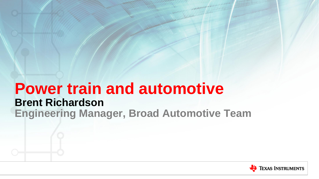## **Power train and automotive Brent Richardson Engineering Manager, Broad Automotive Team**

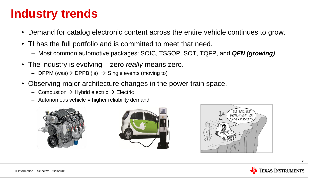## **Industry trends**

- Demand for catalog electronic content across the entire vehicle continues to grow.
- TI has the full portfolio and is committed to meet that need.
	- Most common automotive packages: SOIC, TSSOP, SOT, TQFP, and *QFN (growing)*
- The industry is evolving zero *really* means zero.
	- DPPM (was)  $\rightarrow$  DPPB (is)  $\rightarrow$  Single events (moving to)
- Observing major architecture changes in the power train space.
	- Combustion  $\rightarrow$  Hybrid electric  $\rightarrow$  Electric
	- $-$  Autonomous vehicle  $=$  higher reliability demand







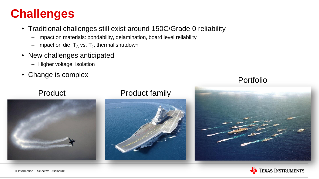## **Challenges**

- Traditional challenges still exist around 150C/Grade 0 reliability
	- Impact on materials: bondability, delamination, board level reliability
	- $-$  Impact on die:  ${\sf T}_{\sf A}$  vs.  ${\sf T}_{\sf J}$ , thermal shutdown
- New challenges anticipated
	- Higher voltage, isolation
- Change is complex